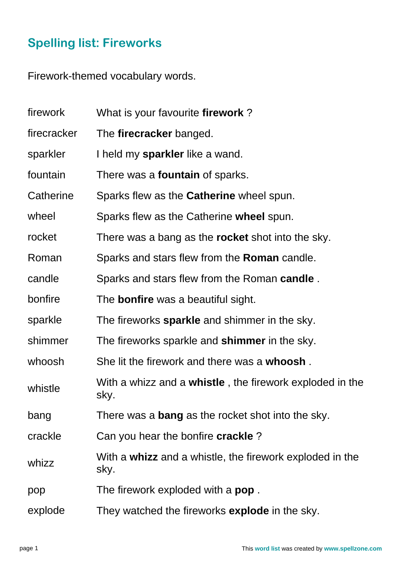## **Spelling list: Fireworks**

Firework-themed vocabulary words.

| firework    | What is your favourite firework?                                         |
|-------------|--------------------------------------------------------------------------|
| firecracker | The firecracker banged.                                                  |
| sparkler    | I held my <b>sparkler</b> like a wand.                                   |
| fountain    | There was a <b>fountain</b> of sparks.                                   |
| Catherine   | Sparks flew as the Catherine wheel spun.                                 |
| wheel       | Sparks flew as the Catherine wheel spun.                                 |
| rocket      | There was a bang as the <b>rocket</b> shot into the sky.                 |
| Roman       | Sparks and stars flew from the <b>Roman</b> candle.                      |
| candle      | Sparks and stars flew from the Roman candle.                             |
| bonfire     | The <b>bonfire</b> was a beautiful sight.                                |
| sparkle     | The fireworks sparkle and shimmer in the sky.                            |
| shimmer     | The fireworks sparkle and <b>shimmer</b> in the sky.                     |
| whoosh      | She lit the firework and there was a whoosh.                             |
| whistle     | With a whizz and a <b>whistle</b> , the firework exploded in the<br>sky. |
| bang        | There was a <b>bang</b> as the rocket shot into the sky.                 |
| crackle     | Can you hear the bonfire <b>crackle</b> ?                                |
| whizz       | With a whizz and a whistle, the firework exploded in the<br>sky.         |
| pop         | The firework exploded with a <b>pop</b> .                                |
| explode     | They watched the fireworks <b>explode</b> in the sky.                    |